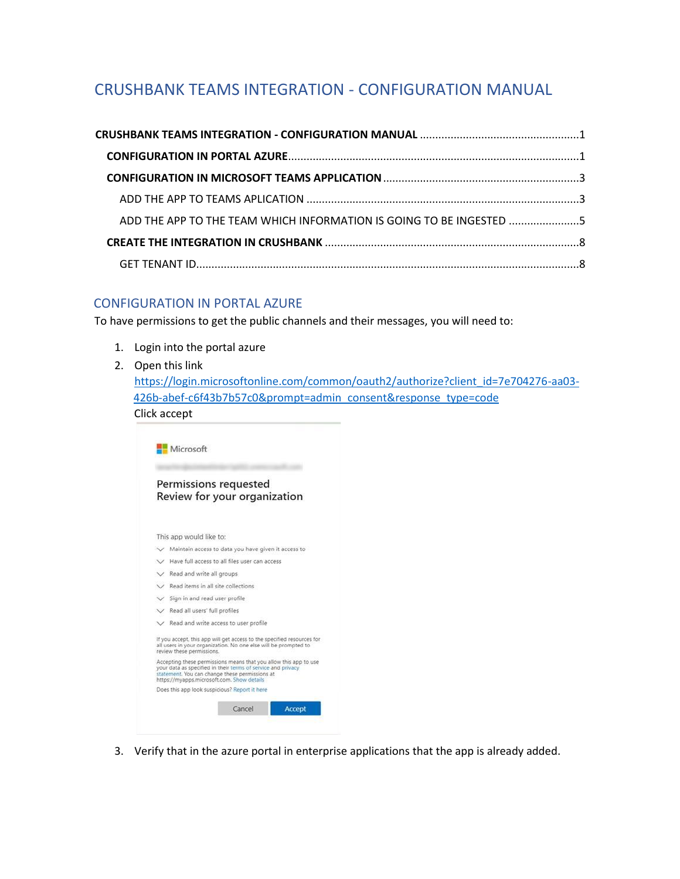# <span id="page-0-0"></span>CRUSHBANK TEAMS INTEGRATION - CONFIGURATION MANUAL

| ADD THE APP TO THE TEAM WHICH INFORMATION IS GOING TO BE INGESTED 5 |  |
|---------------------------------------------------------------------|--|
|                                                                     |  |
|                                                                     |  |

## <span id="page-0-1"></span>CONFIGURATION IN PORTAL AZURE

To have permissions to get the public channels and their messages, you will need to:

- 1. Login into the portal azure
- 2. Open this link

[https://login.microsoftonline.com/common/oauth2/authorize?client\\_id=7e704276-aa03-](https://login.microsoftonline.com/common/oauth2/authorize?client_id=7e704276-aa03-426b-abef-c6f43b7b57c0&prompt=admin_consent&response_type=code) [426b-abef-c6f43b7b57c0&prompt=admin\\_consent&response\\_type=code](https://login.microsoftonline.com/common/oauth2/authorize?client_id=7e704276-aa03-426b-abef-c6f43b7b57c0&prompt=admin_consent&response_type=code) Click accept

| Permissions requested<br>Review for your organization<br>This app would like to:<br>Maintain access to data you have given it access to<br>V Have full access to all files user can access<br>$\vee$ Read and write all groups<br>Read items in all site collections<br>Sign in and read user profile<br>$\vee$ Read all users' full profiles<br>$\vee$ Read and write access to user profile<br>If you accept, this app will get access to the specified resources for<br>all users in your organization. No one else will be prompted to<br>review these permissions.<br>Accepting these permissions means that you allow this app to use<br>your data as specified in their terms of service and privacy<br>statement. You can change these permissions at<br>https://myapps.microsoft.com. Show details |                         |
|-------------------------------------------------------------------------------------------------------------------------------------------------------------------------------------------------------------------------------------------------------------------------------------------------------------------------------------------------------------------------------------------------------------------------------------------------------------------------------------------------------------------------------------------------------------------------------------------------------------------------------------------------------------------------------------------------------------------------------------------------------------------------------------------------------------|-------------------------|
|                                                                                                                                                                                                                                                                                                                                                                                                                                                                                                                                                                                                                                                                                                                                                                                                             |                         |
|                                                                                                                                                                                                                                                                                                                                                                                                                                                                                                                                                                                                                                                                                                                                                                                                             |                         |
|                                                                                                                                                                                                                                                                                                                                                                                                                                                                                                                                                                                                                                                                                                                                                                                                             |                         |
|                                                                                                                                                                                                                                                                                                                                                                                                                                                                                                                                                                                                                                                                                                                                                                                                             |                         |
|                                                                                                                                                                                                                                                                                                                                                                                                                                                                                                                                                                                                                                                                                                                                                                                                             |                         |
|                                                                                                                                                                                                                                                                                                                                                                                                                                                                                                                                                                                                                                                                                                                                                                                                             |                         |
|                                                                                                                                                                                                                                                                                                                                                                                                                                                                                                                                                                                                                                                                                                                                                                                                             |                         |
|                                                                                                                                                                                                                                                                                                                                                                                                                                                                                                                                                                                                                                                                                                                                                                                                             |                         |
|                                                                                                                                                                                                                                                                                                                                                                                                                                                                                                                                                                                                                                                                                                                                                                                                             |                         |
|                                                                                                                                                                                                                                                                                                                                                                                                                                                                                                                                                                                                                                                                                                                                                                                                             |                         |
|                                                                                                                                                                                                                                                                                                                                                                                                                                                                                                                                                                                                                                                                                                                                                                                                             |                         |
|                                                                                                                                                                                                                                                                                                                                                                                                                                                                                                                                                                                                                                                                                                                                                                                                             |                         |
|                                                                                                                                                                                                                                                                                                                                                                                                                                                                                                                                                                                                                                                                                                                                                                                                             |                         |
| Does this app look suspicious? Report it here                                                                                                                                                                                                                                                                                                                                                                                                                                                                                                                                                                                                                                                                                                                                                               |                         |
|                                                                                                                                                                                                                                                                                                                                                                                                                                                                                                                                                                                                                                                                                                                                                                                                             | Cancel<br><b>Accept</b> |

3. Verify that in the azure portal in enterprise applications that the app is already added.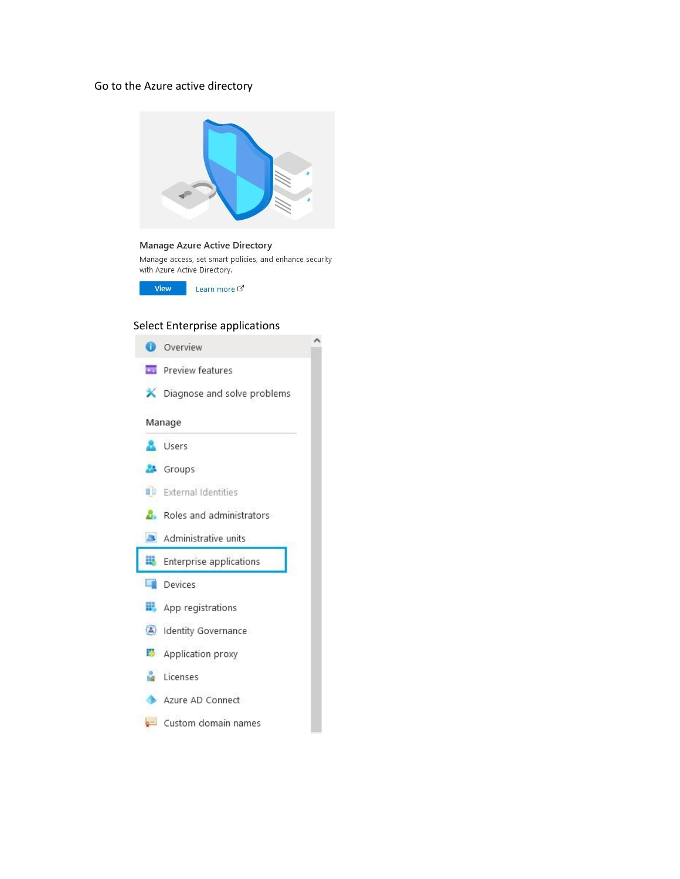### Go to the Azure active directory



#### **Manage Azure Active Directory**

Manage access, set smart policies, and enhance security with Azure Active Directory.

View Learn more d'

## Select Enterprise applications

|              | Overview                           |  |
|--------------|------------------------------------|--|
|              | <b>Department</b> Preview features |  |
|              | X Diagnose and solve problems      |  |
|              | Manage                             |  |
|              | Users                              |  |
|              | <b>8</b> Groups                    |  |
|              | <b>External Identities</b>         |  |
|              | Roles and administrators           |  |
|              | Administrative units               |  |
| 眼            | Enterprise applications            |  |
|              | <b>Devices</b>                     |  |
|              | App registrations                  |  |
| $\mathbf{A}$ | Identity Governance                |  |
|              | Application proxy                  |  |
|              | Licenses                           |  |
|              | Azure AD Connect                   |  |
|              | Custom domain names                |  |
|              |                                    |  |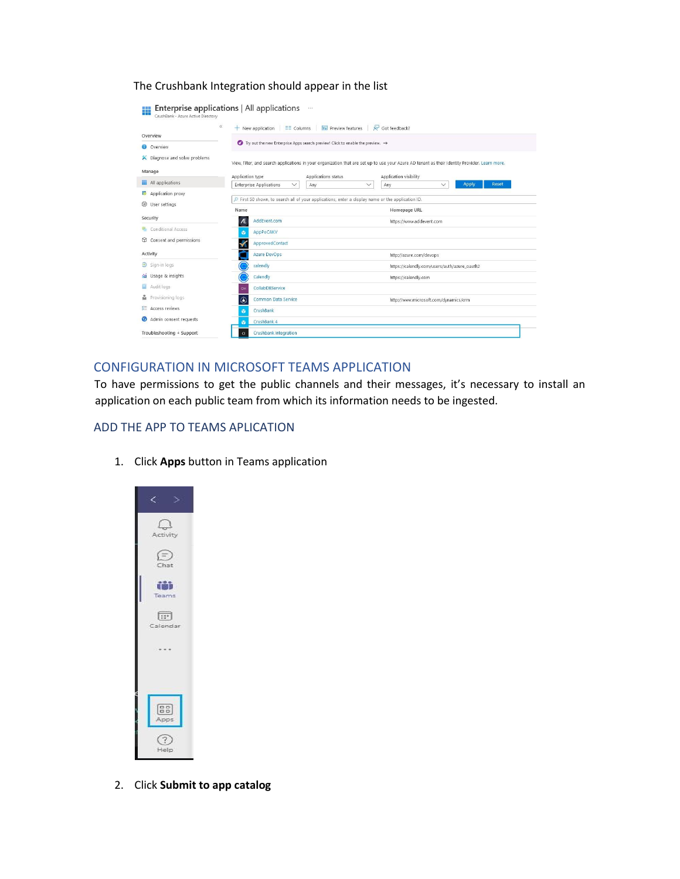The Crushbank Integration should appear in the list

| Overview                    | $\ll$<br>$+$ New application<br>$\equiv$ $\equiv$ $\equiv$ $\equiv$ $\equiv$ | <b>Review features</b>                                                                                                                         | Or Got feedback?                             |                                              |
|-----------------------------|------------------------------------------------------------------------------|------------------------------------------------------------------------------------------------------------------------------------------------|----------------------------------------------|----------------------------------------------|
| O Overview                  |                                                                              | $\bullet$ Try out the new Enterprise Apps search preview! Click to enable the preview. $\rightarrow$                                           |                                              |                                              |
| Diagnose and solve problems |                                                                              | View, filter, and search applications in your organization that are set up to use your Azure AD tenant as their Identity Provider. Learn more. |                                              |                                              |
| Manage                      | Application type                                                             | Applications status                                                                                                                            | Application visibility                       |                                              |
| All applications            | <b>Enterprise Applications</b><br>$\checkmark$                               | Any<br>$\checkmark$                                                                                                                            | Any                                          | <b>Apply</b><br><b>Reset</b><br>$\checkmark$ |
| Application proxy           |                                                                              |                                                                                                                                                |                                              |                                              |
| EQS User settings           | Name                                                                         | First 50 shown, to search all of your applications, enter a display name or the application ID.                                                | Homepage URL                                 |                                              |
| Security                    | Æ<br>AddEvent.com                                                            |                                                                                                                                                | https://www.addevent.com                     |                                              |
| Conditional Access          | AppPoCAKV<br>$\bullet$                                                       |                                                                                                                                                |                                              |                                              |
| Consent and permissions     | ApprovedContact                                                              |                                                                                                                                                |                                              |                                              |
| Activity                    | <b>Azure DevOps</b>                                                          |                                                                                                                                                | http://azure.com/devops                      |                                              |
| $\mathfrak{D}$ Sign-in logs | calendly                                                                     |                                                                                                                                                | https://calendly.com/users/auth/azure_oauth2 |                                              |
| für Usage & insights        | Calendly                                                                     |                                                                                                                                                | https://calendly.com                         |                                              |
| Audit logs                  | CollabDBService<br>OH                                                        |                                                                                                                                                |                                              |                                              |
| Provisioning logs<br>ů.     | Common Data Service<br>C                                                     |                                                                                                                                                | http://www.microsoft.com/dynamics/crm        |                                              |
| <b>E Access reviews</b>     | CrushBank<br>G                                                               |                                                                                                                                                |                                              |                                              |
| Admin consent requests      | CrushBank 4<br>a.                                                            |                                                                                                                                                |                                              |                                              |
| Troubleshooting + Support   | <b>Crushbank Integration</b><br>$\overline{C}$                               |                                                                                                                                                |                                              |                                              |

## <span id="page-2-0"></span>CONFIGURATION IN MICROSOFT TEAMS APPLICATION

To have permissions to get the public channels and their messages, it's necessary to install an application on each public team from which its information needs to be ingested.

#### <span id="page-2-1"></span>ADD THE APP TO TEAMS APLICATION

1. Click **Apps** button in Teams application



2. Click **Submit to app catalog**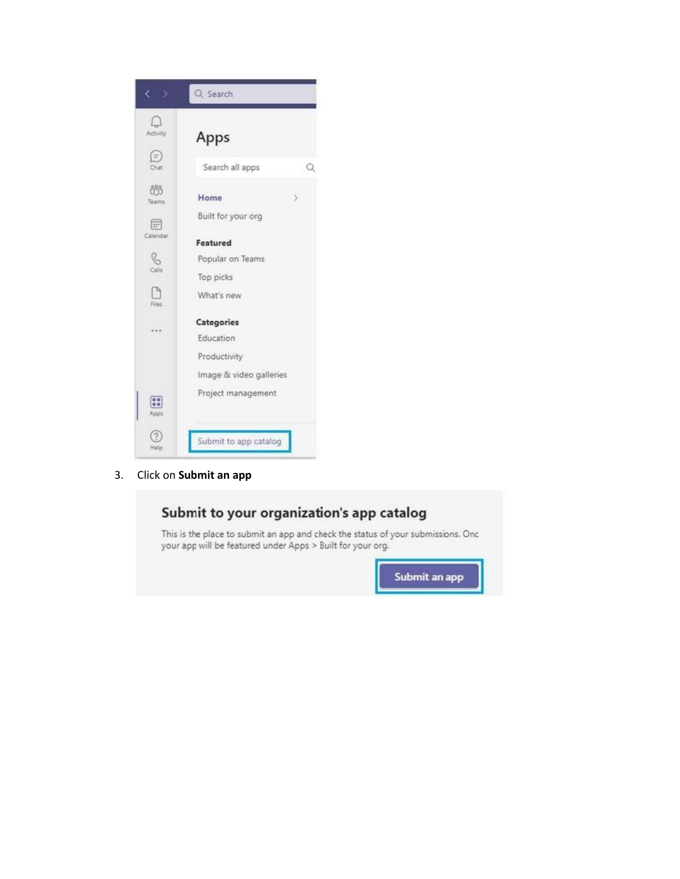

 $3.$ Click on Submit an app

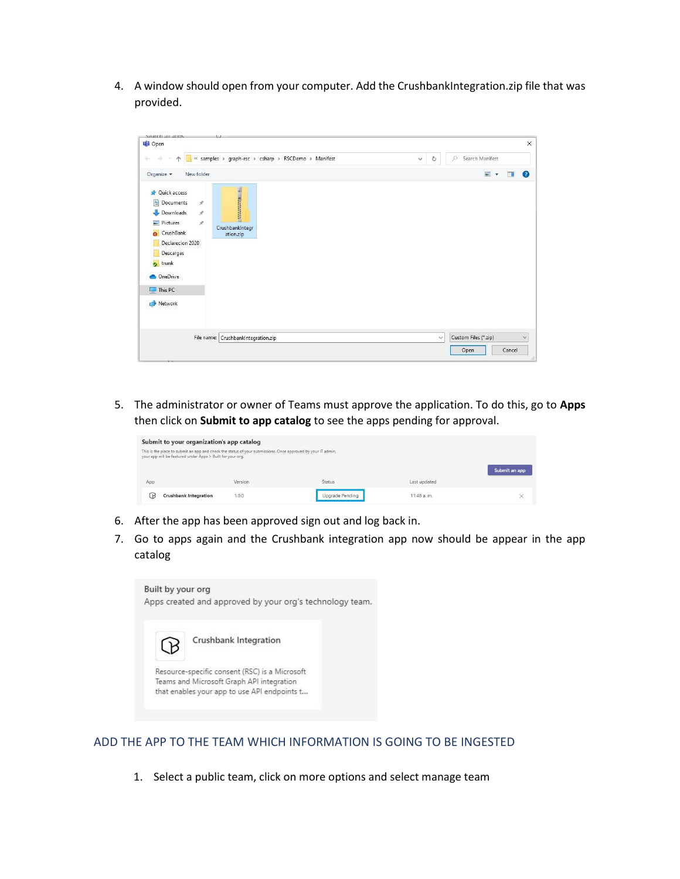4. A window should open from your computer. Add the CrushbankIntegration.zip file that was provided.

|                                                                                                                                                                                                                            | « samples » graph-rsc » csharp » RSCDemo » Manifest | Search Manifest<br>O<br>$\circ$<br>$\checkmark$ |
|----------------------------------------------------------------------------------------------------------------------------------------------------------------------------------------------------------------------------|-----------------------------------------------------|-------------------------------------------------|
| Organize $\star$<br>New folder                                                                                                                                                                                             |                                                     | $\blacksquare$<br>$\Box$                        |
| Quick access<br>曽<br>Documents<br>$\mathcal{R}$<br>Downloads<br>$\mathcal{R}$<br>$\mathcal{R}$<br>Pictures<br>$\overline{\mathbf{a}}$<br>CrushBank<br>Declarecion 2020<br>Descargas<br>trunk<br>OneDrive<br>$\Box$ This PC | <b>SECONDATE</b><br>CrushbankIntegr<br>ation.zip    |                                                 |
| Network                                                                                                                                                                                                                    |                                                     |                                                 |
|                                                                                                                                                                                                                            |                                                     |                                                 |

5. The administrator or owner of Teams must approve the application. To do this, go to **Apps**  then click on **Submit to app catalog** to see the apps pending for approval.

| Submit to your organization's app catalog                                                                                                                                  |         |                 |              |               |  |
|----------------------------------------------------------------------------------------------------------------------------------------------------------------------------|---------|-----------------|--------------|---------------|--|
| This is the place to submit an app and check the status of your submissions. Once approved by your IT admin,<br>your app will be featured under Apps > Built for your org. |         |                 |              |               |  |
|                                                                                                                                                                            |         |                 |              | Submit an app |  |
| App                                                                                                                                                                        | Version | Status          | Last updated |               |  |
| <b>Crushbank Integration</b><br>k                                                                                                                                          | 1.0.0   | Uparade Pending | 11:48 a.m.   |               |  |

- 6. After the app has been approved sign out and log back in.
- 7. Go to apps again and the Crushbank integration app now should be appear in the app catalog



#### <span id="page-4-0"></span>ADD THE APP TO THE TEAM WHICH INFORMATION IS GOING TO BE INGESTED

1. Select a public team, click on more options and select manage team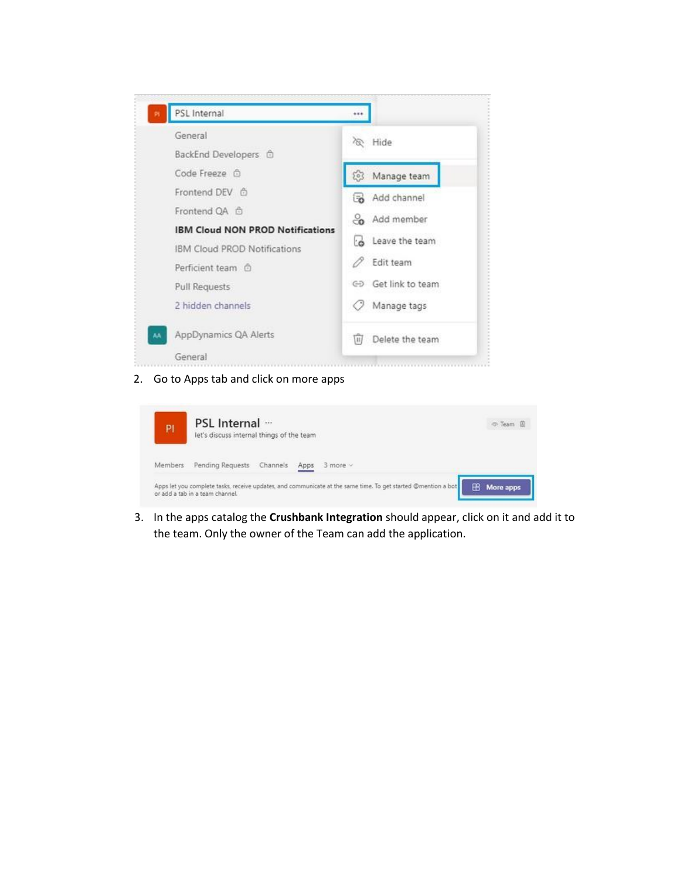

#### 2. Go to Apps tab and click on more apps

| PI      | PSL Internal …<br>let's discuss internal things of the team                                                                                      | @ Team &           |
|---------|--------------------------------------------------------------------------------------------------------------------------------------------------|--------------------|
| Members | Pending Requests Channels<br>$3$ more $\times$<br>Apps                                                                                           |                    |
|         | Apps let you complete tasks, receive updates, and communicate at the same time. To get started @mention a bot<br>or add a tab in a team channel. | <b>B</b> More apps |

3. In the apps catalog the **Crushbank Integration** should appear, click on it and add it to the team. Only the owner of the Team can add the application.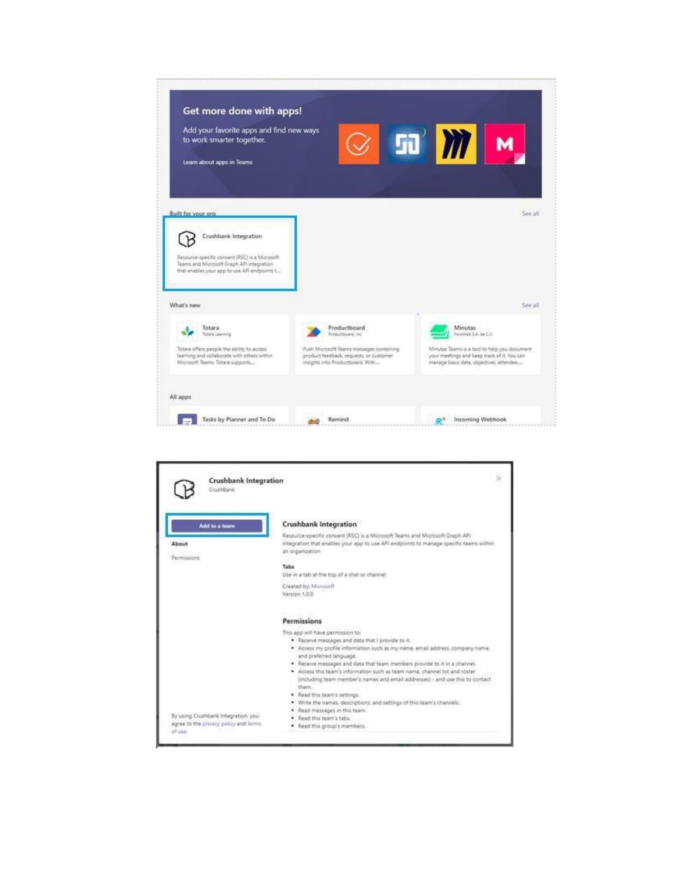

| <b>Crushbank Integration</b><br>CrushBank                                    |                                                                                                                                                                                                                                                                                                                                                                                                                                                                                                                                                                                                                                                         |
|------------------------------------------------------------------------------|---------------------------------------------------------------------------------------------------------------------------------------------------------------------------------------------------------------------------------------------------------------------------------------------------------------------------------------------------------------------------------------------------------------------------------------------------------------------------------------------------------------------------------------------------------------------------------------------------------------------------------------------------------|
| Add to a team<br>About<br>Permissions                                        | <b>Crushbank Integration</b><br>Resource-specific consent (RSC) is a Microsoft Teams and Microsoft Graph API<br>integration that enables your app to use API endpoints to manage specific teams within<br>an organization<br>Tabs                                                                                                                                                                                                                                                                                                                                                                                                                       |
|                                                                              | Use in a tab at the top of a chat or channel<br>Created by: Microsoft<br>Version 1.0.0                                                                                                                                                                                                                                                                                                                                                                                                                                                                                                                                                                  |
|                                                                              | Permissions                                                                                                                                                                                                                                                                                                                                                                                                                                                                                                                                                                                                                                             |
| By using Crushbank Integration, you<br>agree to the privacy policy and birms | This app will have permission to:<br>. Receive messages and data that I provide to it.<br>. Access my profile information such as my name, email address, company name.<br>and preferred language.<br>. Receive messages and data that team members provide to it in a channel.<br>· Access this team's information such as team name, channel list and roster<br>(including team member's names and email addresses) - and use this to contact<br>them.<br>· Read this team's settings.<br>Write the names, descriptions, and settings of this team's channels.<br>Read messages in this team.<br>Read this team's tabs.<br>Read this group's members. |